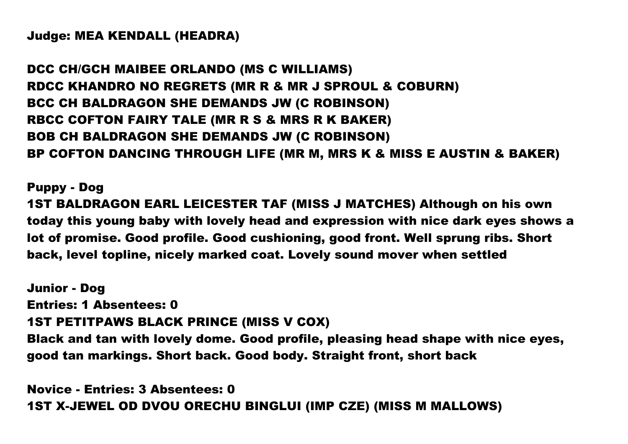Judge: MEA KENDALL (HEADRA)

DCC CH/GCH MAIBEE ORLANDO (MS C WILLIAMS) RDCC KHANDRO NO REGRETS (MR R & MR J SPROUL & COBURN) BCC CH BALDRAGON SHE DEMANDS JW (C ROBINSON) RBCC COFTON FAIRY TALE (MR R S & MRS R K BAKER) BOB CH BALDRAGON SHE DEMANDS JW (C ROBINSON) BP COFTON DANCING THROUGH LIFE (MR M, MRS K & MISS E AUSTIN & BAKER)

Puppy - Dog 1ST BALDRAGON EARL LEICESTER TAF (MISS J MATCHES) Although on his own today this young baby with lovely head and expression with nice dark eyes shows a lot of promise. Good profile. Good cushioning, good front. Well sprung ribs. Short back, level topline, nicely marked coat. Lovely sound mover when settled

Junior - Dog Entries: 1 Absentees: 0 1ST PETITPAWS BLACK PRINCE (MISS V COX) Black and tan with lovely dome. Good profile, pleasing head shape with nice eyes, good tan markings. Short back. Good body. Straight front, short back

Novice - Entries: 3 Absentees: 0 1ST X-JEWEL OD DVOU ORECHU BINGLUI (IMP CZE) (MISS M MALLOWS)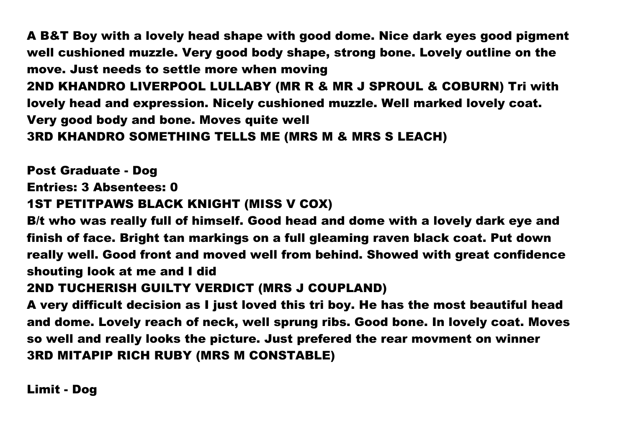A B&T Boy with a lovely head shape with good dome. Nice dark eyes good pigment well cushioned muzzle. Very good body shape, strong bone. Lovely outline on the move. Just needs to settle more when moving

2ND KHANDRO LIVERPOOL LULLABY (MR R & MR J SPROUL & COBURN) Tri with lovely head and expression. Nicely cushioned muzzle. Well marked lovely coat. Very good body and bone. Moves quite well 3RD KHANDRO SOMETHING TELLS ME (MRS M & MRS S LEACH)

Post Graduate - Dog Entries: 3 Absentees: 0 1ST PETITPAWS BLACK KNIGHT (MISS V COX)

B/t who was really full of himself. Good head and dome with a lovely dark eye and finish of face. Bright tan markings on a full gleaming raven black coat. Put down really well. Good front and moved well from behind. Showed with great confidence shouting look at me and I did

# 2ND TUCHERISH GUILTY VERDICT (MRS J COUPLAND)

A very difficult decision as I just loved this tri boy. He has the most beautiful head and dome. Lovely reach of neck, well sprung ribs. Good bone. In lovely coat. Moves so well and really looks the picture. Just prefered the rear movment on winner 3RD MITAPIP RICH RUBY (MRS M CONSTABLE)

Limit - Dog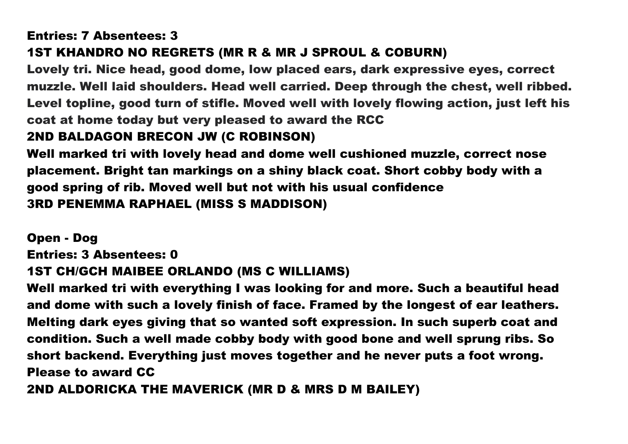#### Entries: 7 Absentees: 3 1ST KHANDRO NO REGRETS (MR R & MR J SPROUL & COBURN)

Lovely tri. Nice head, good dome, low placed ears, dark expressive eyes, correct muzzle. Well laid shoulders. Head well carried. Deep through the chest, well ribbed. Level topline, good turn of stifle. Moved well with lovely flowing action, just left his coat at home today but very pleased to award the RCC

# 2ND BALDAGON BRECON JW (C ROBINSON)

Well marked tri with lovely head and dome well cushioned muzzle, correct nose placement. Bright tan markings on a shiny black coat. Short cobby body with a good spring of rib. Moved well but not with his usual confidence 3RD PENEMMA RAPHAEL (MISS S MADDISON)

# Open - Dog Entries: 3 Absentees: 0 1ST CH/GCH MAIBEE ORLANDO (MS C WILLIAMS)

Well marked tri with everything I was looking for and more. Such a beautiful head and dome with such a lovely finish of face. Framed by the longest of ear leathers. Melting dark eyes giving that so wanted soft expression. In such superb coat and condition. Such a well made cobby body with good bone and well sprung ribs. So short backend. Everything just moves together and he never puts a foot wrong. Please to award CC 2ND ALDORICKA THE MAVERICK (MR D & MRS D M BAILEY)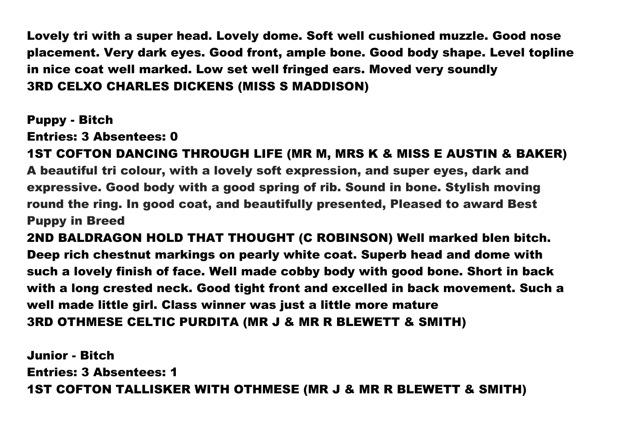Lovely tri with a super head. Lovely dome. Soft well cushioned muzzle. Good nose placement. Very dark eyes. Good front, ample bone. Good body shape. Level topline in nice coat well marked. Low set well fringed ears. Moved very soundly 3RD CELXO CHARLES DICKENS (MISS S MADDISON)

#### Puppy - Bitch

Entries: 3 Absentees: 0

1ST COFTON DANCING THROUGH LIFE (MR M, MRS K & MISS E AUSTIN & BAKER) A beautiful tri colour, with a lovely soft expression, and super eyes, dark and expressive. Good body with a good spring of rib. Sound in bone. Stylish moving round the ring. In good coat, and beautifully presented, Pleased to award Best Puppy in Breed

2ND BALDRAGON HOLD THAT THOUGHT (C ROBINSON) Well marked blen bitch. Deep rich chestnut markings on pearly white coat. Superb head and dome with such a lovely finish of face. Well made cobby body with good bone. Short in back with a long crested neck. Good tight front and excelled in back movement. Such a well made little girl. Class winner was just a little more mature 3RD OTHMESE CELTIC PURDITA (MR J & MR R BLEWETT & SMITH)

Junior - Bitch Entries: 3 Absentees: 1 1ST COFTON TALLISKER WITH OTHMESE (MR J & MR R BLEWETT & SMITH)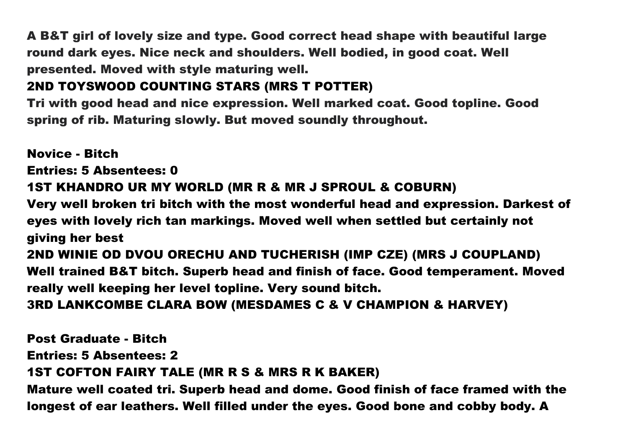A B&T girl of lovely size and type. Good correct head shape with beautiful large round dark eyes. Nice neck and shoulders. Well bodied, in good coat. Well presented. Moved with style maturing well.

# 2ND TOYSWOOD COUNTING STARS (MRS T POTTER)

Tri with good head and nice expression. Well marked coat. Good topline. Good spring of rib. Maturing slowly. But moved soundly throughout.

Novice - Bitch Entries: 5 Absentees: 0 1ST KHANDRO UR MY WORLD (MR R & MR J SPROUL & COBURN) Very well broken tri bitch with the most wonderful head and expression. Darkest of eyes with lovely rich tan markings. Moved well when settled but certainly not giving her best 2ND WINIE OD DVOU ORECHU AND TUCHERISH (IMP CZE) (MRS J COUPLAND) Well trained B&T bitch. Superb head and finish of face. Good temperament. Moved really well keeping her level topline. Very sound bitch.

3RD LANKCOMBE CLARA BOW (MESDAMES C & V CHAMPION & HARVEY)

Post Graduate - Bitch

Entries: 5 Absentees: 2

# 1ST COFTON FAIRY TALE (MR R S & MRS R K BAKER)

Mature well coated tri. Superb head and dome. Good finish of face framed with the longest of ear leathers. Well filled under the eyes. Good bone and cobby body. A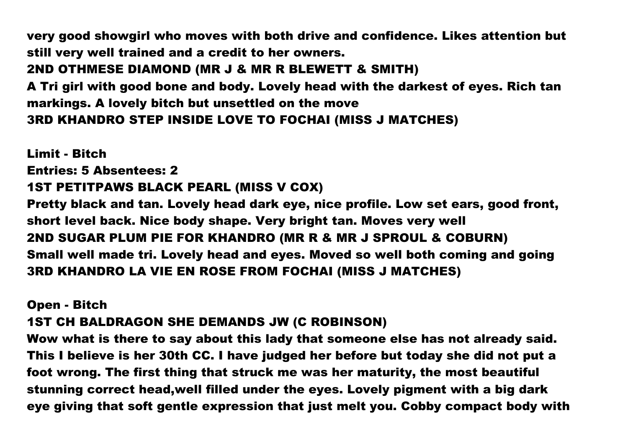very good showgirl who moves with both drive and confidence. Likes attention but still very well trained and a credit to her owners.

### 2ND OTHMESE DIAMOND (MR J & MR R BLEWETT & SMITH)

A Tri girl with good bone and body. Lovely head with the darkest of eyes. Rich tan markings. A lovely bitch but unsettled on the move 3RD KHANDRO STEP INSIDE LOVE TO FOCHAI (MISS J MATCHES)

Limit - Bitch Entries: 5 Absentees: 2 1ST PETITPAWS BLACK PEARL (MISS V COX) Pretty black and tan. Lovely head dark eye, nice profile. Low set ears, good front, short level back. Nice body shape. Very bright tan. Moves very well 2ND SUGAR PLUM PIE FOR KHANDRO (MR R & MR J SPROUL & COBURN) Small well made tri. Lovely head and eyes. Moved so well both coming and going 3RD KHANDRO LA VIE EN ROSE FROM FOCHAI (MISS J MATCHES)

### Open - Bitch

# 1ST CH BALDRAGON SHE DEMANDS JW (C ROBINSON)

Wow what is there to say about this lady that someone else has not already said. This I believe is her 30th CC. I have judged her before but today she did not put a foot wrong. The first thing that struck me was her maturity, the most beautiful stunning correct head,well filled under the eyes. Lovely pigment with a big dark eye giving that soft gentle expression that just melt you. Cobby compact body with